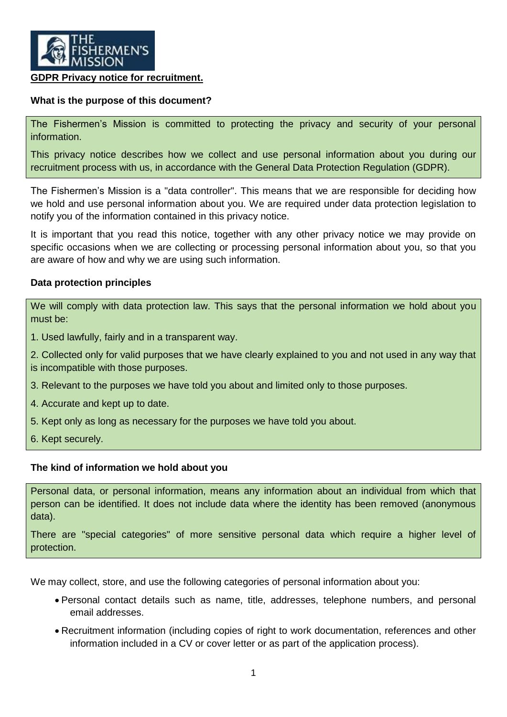

#### **GDPR Privacy notice for recruitment.**

## **What is the purpose of this document?**

The Fishermen's Mission is committed to protecting the privacy and security of your personal information.

This privacy notice describes how we collect and use personal information about you during our recruitment process with us, in accordance with the General Data Protection Regulation (GDPR).

The Fishermen's Mission is a "data controller". This means that we are responsible for deciding how we hold and use personal information about you. We are required under data protection legislation to notify you of the information contained in this privacy notice.

It is important that you read this notice, together with any other privacy notice we may provide on specific occasions when we are collecting or processing personal information about you, so that you are aware of how and why we are using such information.

#### **Data protection principles**

We will comply with data protection law. This says that the personal information we hold about you must be:

- 1. Used lawfully, fairly and in a transparent way.
- 2. Collected only for valid purposes that we have clearly explained to you and not used in any way that is incompatible with those purposes.
- 3. Relevant to the purposes we have told you about and limited only to those purposes.
- 4. Accurate and kept up to date.
- 5. Kept only as long as necessary for the purposes we have told you about.
- 6. Kept securely.

#### <span id="page-0-0"></span>**The kind of information we hold about you**

Personal data, or personal information, means any information about an individual from which that person can be identified. It does not include data where the identity has been removed (anonymous data).

There are "special categories" of more sensitive personal data which require a higher level of protection.

We may collect, store, and use the following categories of personal information about you:

- Personal contact details such as name, title, addresses, telephone numbers, and personal email addresses.
- Recruitment information (including copies of right to work documentation, references and other information included in a CV or cover letter or as part of the application process).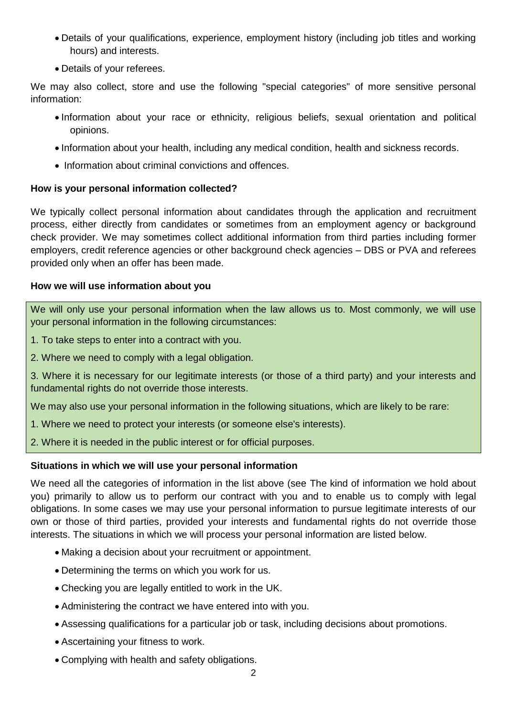- Details of your qualifications, experience, employment history (including job titles and working hours) and interests.
- Details of your referees.

We may also collect, store and use the following "special categories" of more sensitive personal information:

- Information about your race or ethnicity, religious beliefs, sexual orientation and political opinions.
- Information about your health, including any medical condition, health and sickness records.
- Information about criminal convictions and offences.

# **How is your personal information collected?**

We typically collect personal information about candidates through the application and recruitment process, either directly from candidates or sometimes from an employment agency or background check provider. We may sometimes collect additional information from third parties including former employers, credit reference agencies or other background check agencies – DBS or PVA and referees provided only when an offer has been made.

# **How we will use information about you**

We will only use your personal information when the law allows us to. Most commonly, we will use your personal information in the following circumstances:

- 1. To take steps to enter into a contract with you.
- 2. Where we need to comply with a legal obligation.

3. Where it is necessary for our legitimate interests (or those of a third party) and your interests and fundamental rights do not override those interests.

We may also use your personal information in the following situations, which are likely to be rare:

- 1. Where we need to protect your interests (or someone else's interests).
- 2. Where it is needed in the public interest or for official purposes.

#### **Situations in which we will use your personal information**

We need all the categories of information in the list above (see [The kind of information we hold about](#page-0-0)  [you\)](#page-0-0) primarily to allow us to perform our contract with you and to enable us to comply with legal obligations. In some cases we may use your personal information to pursue legitimate interests of our own or those of third parties, provided your interests and fundamental rights do not override those interests. The situations in which we will process your personal information are listed below.

- Making a decision about your recruitment or appointment.
- Determining the terms on which you work for us.
- Checking you are legally entitled to work in the UK.
- Administering the contract we have entered into with you.
- Assessing qualifications for a particular job or task, including decisions about promotions.
- Ascertaining your fitness to work.
- Complying with health and safety obligations.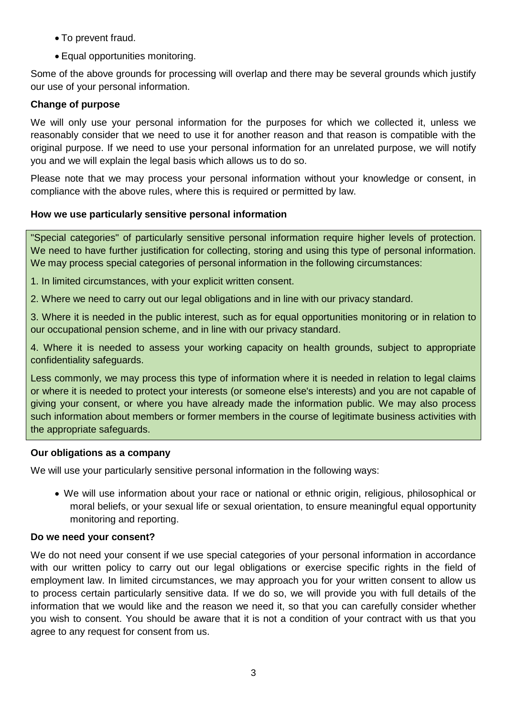- To prevent fraud.
- Equal opportunities monitoring.

Some of the above grounds for processing will overlap and there may be several grounds which justify our use of your personal information.

## **Change of purpose**

We will only use your personal information for the purposes for which we collected it, unless we reasonably consider that we need to use it for another reason and that reason is compatible with the original purpose. If we need to use your personal information for an unrelated purpose, we will notify you and we will explain the legal basis which allows us to do so.

Please note that we may process your personal information without your knowledge or consent, in compliance with the above rules, where this is required or permitted by law.

## **How we use particularly sensitive personal information**

"Special categories" of particularly sensitive personal information require higher levels of protection. We need to have further justification for collecting, storing and using this type of personal information. We may process special categories of personal information in the following circumstances:

1. In limited circumstances, with your explicit written consent.

2. Where we need to carry out our legal obligations and in line with our privacy standard.

3. Where it is needed in the public interest, such as for equal opportunities monitoring or in relation to our occupational pension scheme, and in line with our privacy standard.

4. Where it is needed to assess your working capacity on health grounds, subject to appropriate confidentiality safeguards.

Less commonly, we may process this type of information where it is needed in relation to legal claims or where it is needed to protect your interests (or someone else's interests) and you are not capable of giving your consent, or where you have already made the information public. We may also process such information about members or former members in the course of legitimate business activities with the appropriate safeguards.

#### **Our obligations as a company**

We will use your particularly sensitive personal information in the following ways:

• We will use information about your race or national or ethnic origin, religious, philosophical or moral beliefs, or your sexual life or sexual orientation, to ensure meaningful equal opportunity monitoring and reporting.

#### **Do we need your consent?**

We do not need your consent if we use special categories of your personal information in accordance with our written policy to carry out our legal obligations or exercise specific rights in the field of employment law. In limited circumstances, we may approach you for your written consent to allow us to process certain particularly sensitive data. If we do so, we will provide you with full details of the information that we would like and the reason we need it, so that you can carefully consider whether you wish to consent. You should be aware that it is not a condition of your contract with us that you agree to any request for consent from us.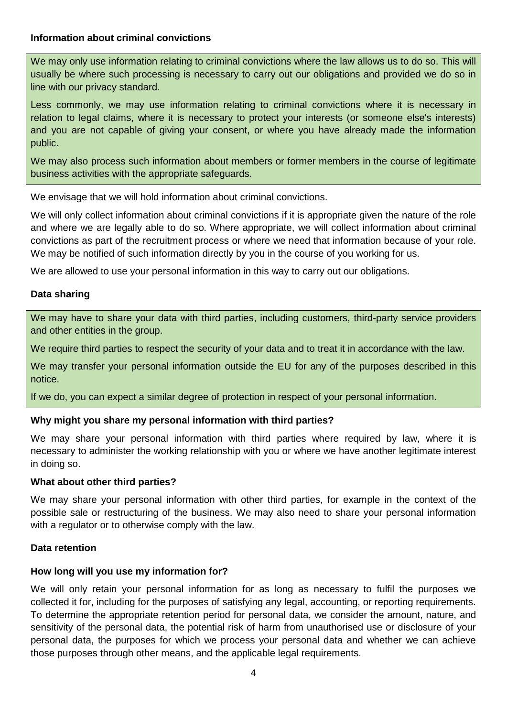## **Information about criminal convictions**

We may only use information relating to criminal convictions where the law allows us to do so. This will usually be where such processing is necessary to carry out our obligations and provided we do so in line with our privacy standard.

Less commonly, we may use information relating to criminal convictions where it is necessary in relation to legal claims, where it is necessary to protect your interests (or someone else's interests) and you are not capable of giving your consent, or where you have already made the information public.

We may also process such information about members or former members in the course of legitimate business activities with the appropriate safeguards.

We envisage that we will hold information about criminal convictions.

We will only collect information about criminal convictions if it is appropriate given the nature of the role and where we are legally able to do so. Where appropriate, we will collect information about criminal convictions as part of the recruitment process or where we need that information because of your role. We may be notified of such information directly by you in the course of you working for us.

We are allowed to use your personal information in this way to carry out our obligations.

## **Data sharing**

We may have to share your data with third parties, including customers, third-party service providers and other entities in the group.

We require third parties to respect the security of your data and to treat it in accordance with the law.

We may transfer your personal information outside the EU for any of the purposes described in this notice.

If we do, you can expect a similar degree of protection in respect of your personal information.

#### **Why might you share my personal information with third parties?**

We may share your personal information with third parties where required by law, where it is necessary to administer the working relationship with you or where we have another legitimate interest in doing so.

#### **What about other third parties?**

We may share your personal information with other third parties, for example in the context of the possible sale or restructuring of the business. We may also need to share your personal information with a regulator or to otherwise comply with the law.

#### **Data retention**

#### **How long will you use my information for?**

We will only retain your personal information for as long as necessary to fulfil the purposes we collected it for, including for the purposes of satisfying any legal, accounting, or reporting requirements. To determine the appropriate retention period for personal data, we consider the amount, nature, and sensitivity of the personal data, the potential risk of harm from unauthorised use or disclosure of your personal data, the purposes for which we process your personal data and whether we can achieve those purposes through other means, and the applicable legal requirements.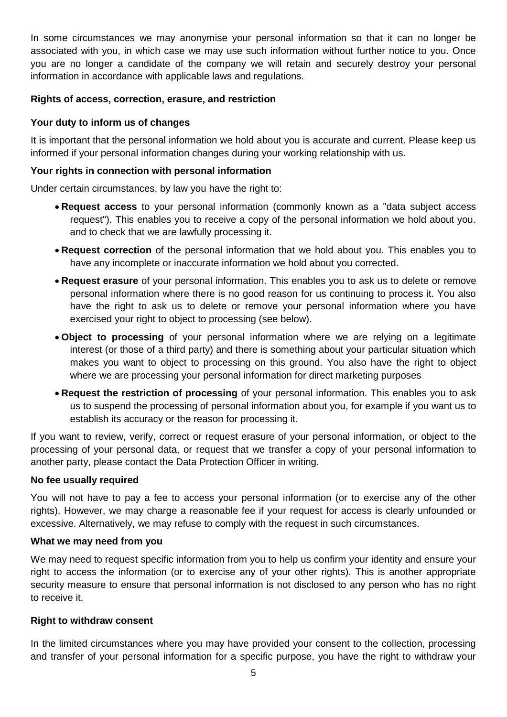In some circumstances we may anonymise your personal information so that it can no longer be associated with you, in which case we may use such information without further notice to you. Once you are no longer a candidate of the company we will retain and securely destroy your personal information in accordance with applicable laws and regulations.

# **Rights of access, correction, erasure, and restriction**

# **Your duty to inform us of changes**

It is important that the personal information we hold about you is accurate and current. Please keep us informed if your personal information changes during your working relationship with us.

# **Your rights in connection with personal information**

Under certain circumstances, by law you have the right to:

- **Request access** to your personal information (commonly known as a "data subject access request"). This enables you to receive a copy of the personal information we hold about you. and to check that we are lawfully processing it.
- **Request correction** of the personal information that we hold about you. This enables you to have any incomplete or inaccurate information we hold about you corrected.
- **Request erasure** of your personal information. This enables you to ask us to delete or remove personal information where there is no good reason for us continuing to process it. You also have the right to ask us to delete or remove your personal information where you have exercised your right to object to processing (see below).
- **Object to processing** of your personal information where we are relying on a legitimate interest (or those of a third party) and there is something about your particular situation which makes you want to object to processing on this ground. You also have the right to object where we are processing your personal information for direct marketing purposes
- **Request the restriction of processing** of your personal information. This enables you to ask us to suspend the processing of personal information about you, for example if you want us to establish its accuracy or the reason for processing it.

If you want to review, verify, correct or request erasure of your personal information, or object to the processing of your personal data, or request that we transfer a copy of your personal information to another party, please contact the Data Protection Officer in writing.

# **No fee usually required**

You will not have to pay a fee to access your personal information (or to exercise any of the other rights). However, we may charge a reasonable fee if your request for access is clearly unfounded or excessive. Alternatively, we may refuse to comply with the request in such circumstances.

# **What we may need from you**

We may need to request specific information from you to help us confirm your identity and ensure your right to access the information (or to exercise any of your other rights). This is another appropriate security measure to ensure that personal information is not disclosed to any person who has no right to receive it.

#### **Right to withdraw consent**

In the limited circumstances where you may have provided your consent to the collection, processing and transfer of your personal information for a specific purpose, you have the right to withdraw your